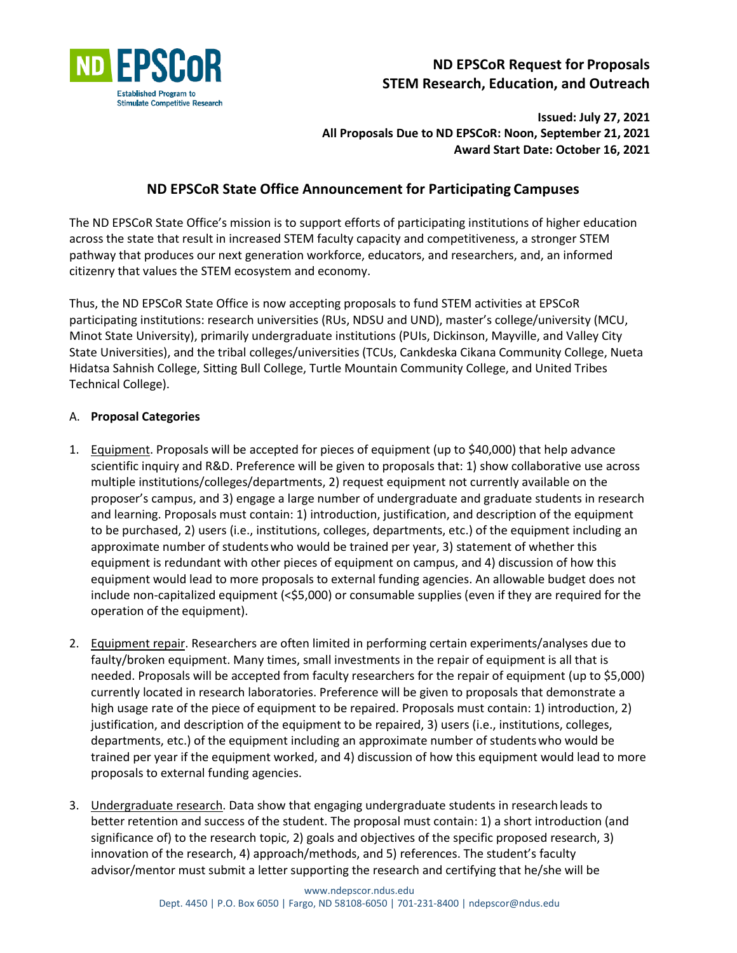

# **ND EPSCoR Request for Proposals STEM Research, Education, and Outreach**

**Issued: July 27, 2021 All Proposals Due to ND EPSCoR: Noon, September 21, 2021 Award Start Date: October 16, 2021**

## **ND EPSCoR State Office Announcement for Participating Campuses**

The ND EPSCoR State Office's mission is to support efforts of participating institutions of higher education across the state that result in increased STEM faculty capacity and competitiveness, a stronger STEM pathway that produces our next generation workforce, educators, and researchers, and, an informed citizenry that values the STEM ecosystem and economy.

Thus, the ND EPSCoR State Office is now accepting proposals to fund STEM activities at EPSCoR participating institutions: research universities (RUs, NDSU and UND), master's college/university (MCU, Minot State University), primarily undergraduate institutions (PUIs, Dickinson, Mayville, and Valley City State Universities), and the tribal colleges/universities (TCUs, Cankdeska Cikana Community College, Nueta Hidatsa Sahnish College, Sitting Bull College, Turtle Mountain Community College, and United Tribes Technical College).

## A. **Proposal Categories**

- 1. Equipment. Proposals will be accepted for pieces of equipment (up to \$40,000) that help advance scientific inquiry and R&D. Preference will be given to proposals that: 1) show collaborative use across multiple institutions/colleges/departments, 2) request equipment not currently available on the proposer's campus, and 3) engage a large number of undergraduate and graduate students in research and learning. Proposals must contain: 1) introduction, justification, and description of the equipment to be purchased, 2) users (i.e., institutions, colleges, departments, etc.) of the equipment including an approximate number of studentswho would be trained per year, 3) statement of whether this equipment is redundant with other pieces of equipment on campus, and 4) discussion of how this equipment would lead to more proposals to external funding agencies. An allowable budget does not include non-capitalized equipment (<\$5,000) or consumable supplies (even if they are required for the operation of the equipment).
- 2. Equipment repair. Researchers are often limited in performing certain experiments/analyses due to faulty/broken equipment. Many times, small investments in the repair of equipment is all that is needed. Proposals will be accepted from faculty researchers for the repair of equipment (up to \$5,000) currently located in research laboratories. Preference will be given to proposals that demonstrate a high usage rate of the piece of equipment to be repaired. Proposals must contain: 1) introduction, 2) justification, and description of the equipment to be repaired, 3) users (i.e., institutions, colleges, departments, etc.) of the equipment including an approximate number of studentswho would be trained per year if the equipment worked, and 4) discussion of how this equipment would lead to more proposals to external funding agencies.
- 3. Undergraduate research. Data show that engaging undergraduate students in research leads to better retention and success of the student. The proposal must contain: 1) a short introduction (and significance of) to the research topic, 2) goals and objectives of the specific proposed research, 3) innovation of the research, 4) approach/methods, and 5) references. The student's faculty advisor/mentor must submit a letter supporting the research and certifying that he/she will be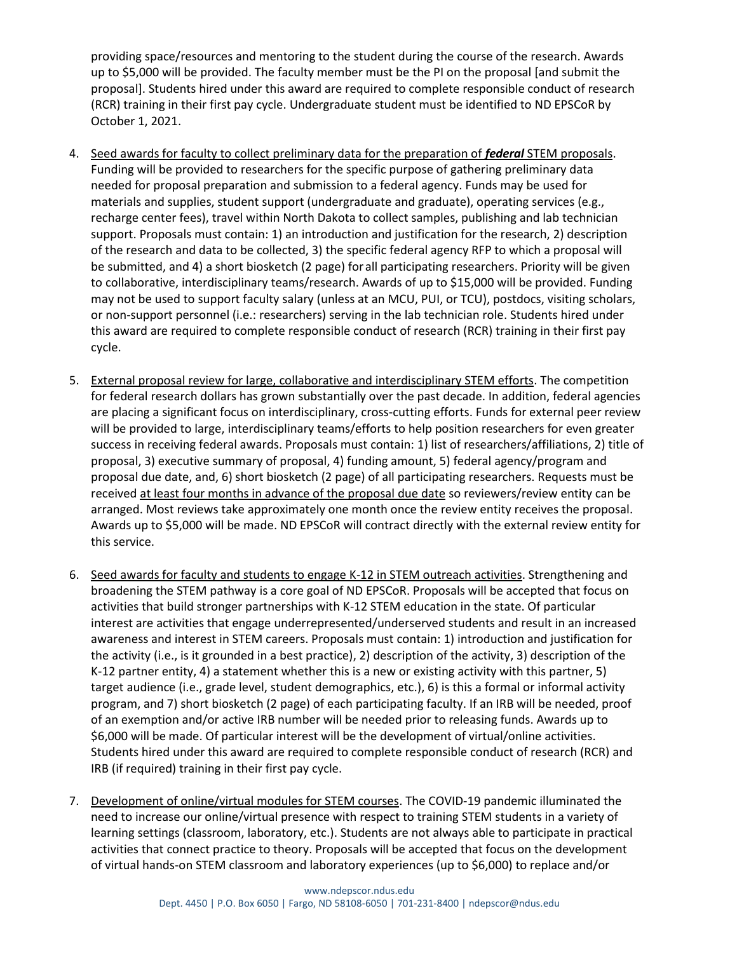providing space/resources and mentoring to the student during the course of the research. Awards up to \$5,000 will be provided. The faculty member must be the PI on the proposal [and submit the proposal]. Students hired under this award are required to complete responsible conduct of research (RCR) training in their first pay cycle. Undergraduate student must be identified to ND EPSCoR by October 1, 2021.

- 4. Seed awards for faculty to collect preliminary data for the preparation of *federal* STEM proposals. Funding will be provided to researchers for the specific purpose of gathering preliminary data needed for proposal preparation and submission to a federal agency. Funds may be used for materials and supplies, student support (undergraduate and graduate), operating services (e.g., recharge center fees), travel within North Dakota to collect samples, publishing and lab technician support. Proposals must contain: 1) an introduction and justification for the research, 2) description of the research and data to be collected, 3) the specific federal agency RFP to which a proposal will be submitted, and 4) a short biosketch (2 page) forall participating researchers. Priority will be given to collaborative, interdisciplinary teams/research. Awards of up to \$15,000 will be provided. Funding may not be used to support faculty salary (unless at an MCU, PUI, or TCU), postdocs, visiting scholars, or non-support personnel (i.e.: researchers) serving in the lab technician role. Students hired under this award are required to complete responsible conduct of research (RCR) training in their first pay cycle.
- 5. External proposal review for large, collaborative and interdisciplinary STEM efforts. The competition for federal research dollars has grown substantially over the past decade. In addition, federal agencies are placing a significant focus on interdisciplinary, cross-cutting efforts. Funds for external peer review will be provided to large, interdisciplinary teams/efforts to help position researchers for even greater success in receiving federal awards. Proposals must contain: 1) list of researchers/affiliations, 2) title of proposal, 3) executive summary of proposal, 4) funding amount, 5) federal agency/program and proposal due date, and, 6) short biosketch (2 page) of all participating researchers. Requests must be received at least four months in advance of the proposal due date so reviewers/review entity can be arranged. Most reviews take approximately one month once the review entity receives the proposal. Awards up to \$5,000 will be made. ND EPSCoR will contract directly with the external review entity for this service.
- 6. Seed awards for faculty and students to engage K-12 in STEM outreach activities. Strengthening and broadening the STEM pathway is a core goal of ND EPSCoR. Proposals will be accepted that focus on activities that build stronger partnerships with K-12 STEM education in the state. Of particular interest are activities that engage underrepresented/underserved students and result in an increased awareness and interest in STEM careers. Proposals must contain: 1) introduction and justification for the activity (i.e., is it grounded in a best practice), 2) description of the activity, 3) description of the K-12 partner entity, 4) a statement whether this is a new or existing activity with this partner, 5) target audience (i.e., grade level, student demographics, etc.), 6) is this a formal or informal activity program, and 7) short biosketch (2 page) of each participating faculty. If an IRB will be needed, proof of an exemption and/or active IRB number will be needed prior to releasing funds. Awards up to \$6,000 will be made. Of particular interest will be the development of virtual/online activities. Students hired under this award are required to complete responsible conduct of research (RCR) and IRB (if required) training in their first pay cycle.
- 7. Development of online/virtual modules for STEM courses. The COVID-19 pandemic illuminated the need to increase our online/virtual presence with respect to training STEM students in a variety of learning settings (classroom, laboratory, etc.). Students are not always able to participate in practical activities that connect practice to theory. Proposals will be accepted that focus on the development of virtual hands-on STEM classroom and laboratory experiences (up to \$6,000) to replace and/or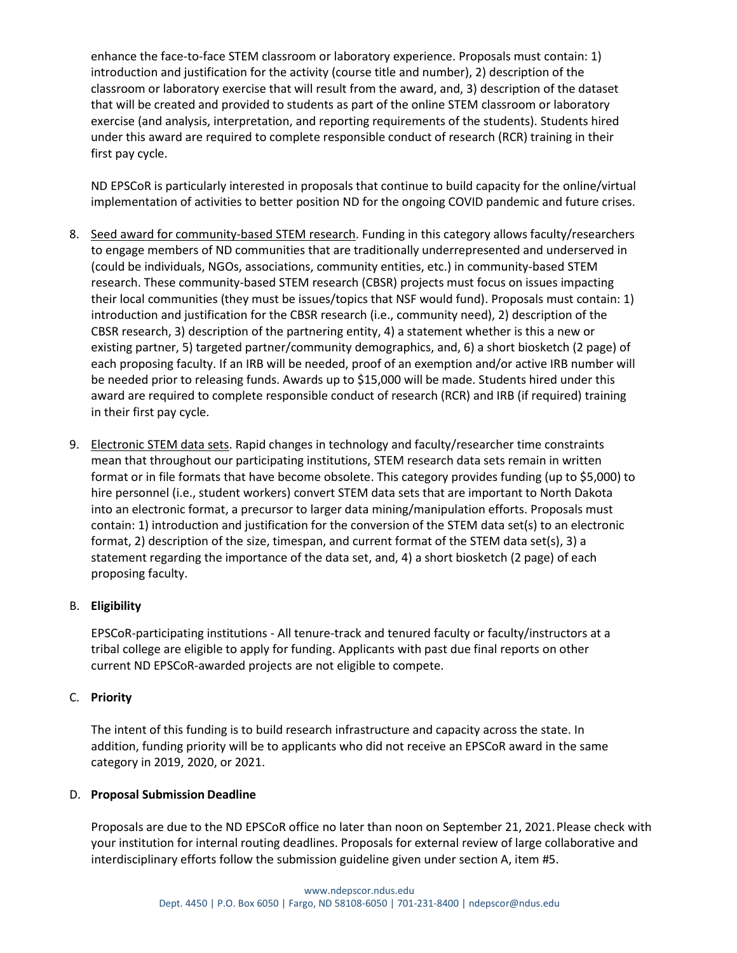enhance the face-to-face STEM classroom or laboratory experience. Proposals must contain: 1) introduction and justification for the activity (course title and number), 2) description of the classroom or laboratory exercise that will result from the award, and, 3) description of the dataset that will be created and provided to students as part of the online STEM classroom or laboratory exercise (and analysis, interpretation, and reporting requirements of the students). Students hired under this award are required to complete responsible conduct of research (RCR) training in their first pay cycle.

ND EPSCoR is particularly interested in proposals that continue to build capacity for the online/virtual implementation of activities to better position ND for the ongoing COVID pandemic and future crises.

- 8. Seed award for community-based STEM research. Funding in this category allows faculty/researchers to engage members of ND communities that are traditionally underrepresented and underserved in (could be individuals, NGOs, associations, community entities, etc.) in community-based STEM research. These community-based STEM research (CBSR) projects must focus on issues impacting their local communities (they must be issues/topics that NSF would fund). Proposals must contain: 1) introduction and justification for the CBSR research (i.e., community need), 2) description of the CBSR research, 3) description of the partnering entity, 4) a statement whether is this a new or existing partner, 5) targeted partner/community demographics, and, 6) a short biosketch (2 page) of each proposing faculty. If an IRB will be needed, proof of an exemption and/or active IRB number will be needed prior to releasing funds. Awards up to \$15,000 will be made. Students hired under this award are required to complete responsible conduct of research (RCR) and IRB (if required) training in their first pay cycle.
- 9. Electronic STEM data sets. Rapid changes in technology and faculty/researcher time constraints mean that throughout our participating institutions, STEM research data sets remain in written format or in file formats that have become obsolete. This category provides funding (up to \$5,000) to hire personnel (i.e., student workers) convert STEM data sets that are important to North Dakota into an electronic format, a precursor to larger data mining/manipulation efforts. Proposals must contain: 1) introduction and justification for the conversion of the STEM data set(s) to an electronic format, 2) description of the size, timespan, and current format of the STEM data set(s), 3) a statement regarding the importance of the data set, and, 4) a short biosketch (2 page) of each proposing faculty.

## B. **Eligibility**

EPSCoR-participating institutions - All tenure-track and tenured faculty or faculty/instructors at a tribal college are eligible to apply for funding. Applicants with past due final reports on other current ND EPSCoR-awarded projects are not eligible to compete.

## C. **Priority**

The intent of this funding is to build research infrastructure and capacity across the state. In addition, funding priority will be to applicants who did not receive an EPSCoR award in the same category in 2019, 2020, or 2021.

## D. **Proposal Submission Deadline**

Proposals are due to the ND EPSCoR office no later than noon on September 21, 2021.Please check with your institution for internal routing deadlines. Proposals for external review of large collaborative and interdisciplinary efforts follow the submission guideline given under section A, item #5.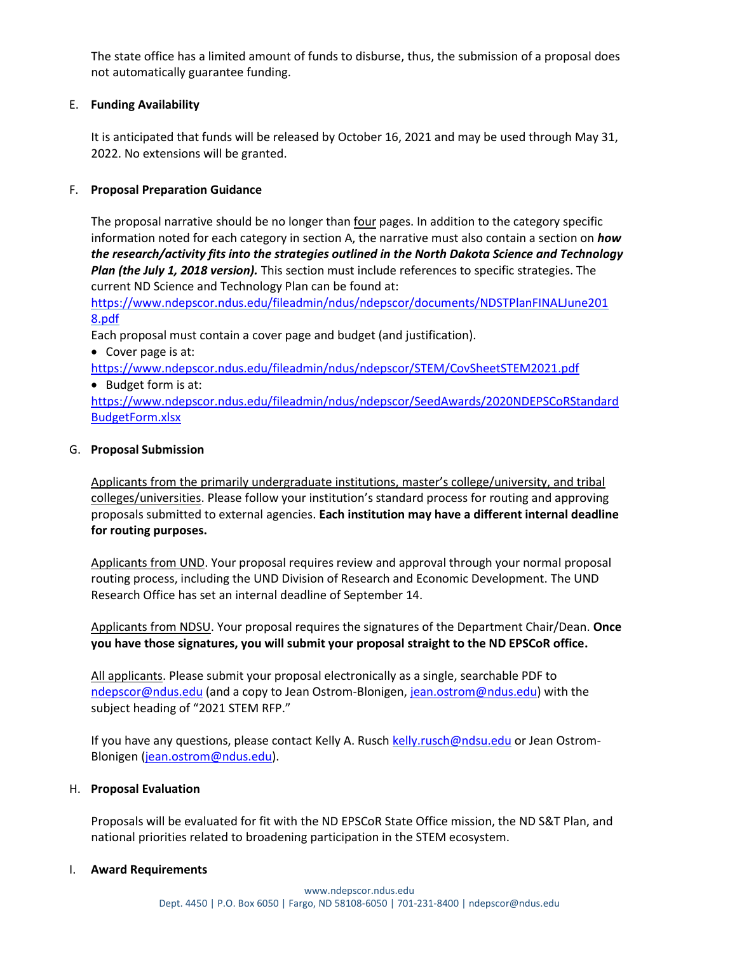The state office has a limited amount of funds to disburse, thus, the submission of a proposal does not automatically guarantee funding.

## E. **Funding Availability**

It is anticipated that funds will be released by October 16, 2021 and may be used through May 31, 2022. No extensions will be granted.

## F. **Proposal Preparation Guidance**

The proposal narrative should be no longer than four pages. In addition to the category specific information noted for each category in section A, the narrative must also contain a section on *how the research/activity fits into the strategies outlined in the North Dakota Science and Technology Plan (the July 1, 2018 version).* This section must include references to specific strategies. The current ND Science and Technology Plan can be found at:

[https://www.ndepscor.ndus.edu/fileadmin/ndus/ndepscor/documents/NDSTPlanFINALJune201](https://www.ndepscor.ndus.edu/fileadmin/ndus/ndepscor/documents/NDSTPlanFINALJune2018.pdf) [8.pdf](https://www.ndepscor.ndus.edu/fileadmin/ndus/ndepscor/documents/NDSTPlanFINALJune2018.pdf)

Each proposal must contain a cover page and budget (and justification).

• Cover page is at:

<https://www.ndepscor.ndus.edu/fileadmin/ndus/ndepscor/STEM/CovSheetSTEM2021.pdf>

• Budget form is at:

[https://www.ndepscor.ndus.edu/fileadmin/ndus/ndepscor/SeedAwards/2020NDEPSCoRStandard](https://www.ndepscor.ndus.edu/fileadmin/ndus/ndepscor/SeedAwards/2020NDEPSCoRStandardBudgetForm.xlsx) [BudgetForm.xlsx](https://www.ndepscor.ndus.edu/fileadmin/ndus/ndepscor/SeedAwards/2020NDEPSCoRStandardBudgetForm.xlsx)

## G. **Proposal Submission**

Applicants from the primarily undergraduate institutions, master's college/university, and tribal colleges/universities. Please follow your institution's standard process for routing and approving proposals submitted to external agencies. **Each institution may have a different internal deadline for routing purposes.**

Applicants from UND. Your proposal requires review and approval through your normal proposal routing process, including the UND Division of Research and Economic Development. The UND Research Office has set an internal deadline of September 14.

Applicants from NDSU. Your proposal requires the signatures of the Department Chair/Dean. **Once you have those signatures, you will submit your proposal straight to the ND EPSCoR office.**

All applicants. Please submit your proposal electronically as a single, searchable PDF to [ndepscor@ndus.edu](mailto:ndepscor@ndus.edu) (and a copy to Jean Ostrom-Blonigen, [jean.ostrom@ndus.edu\)](mailto:jean.ostrom@ndus.edu) with the subject heading of "2021 STEM RFP."

If you have any questions, please contact Kelly A. Rusch [kelly.rusch@ndsu.edu](mailto:kelly.rusch@ndsu.edu) or Jean Ostrom-Blonigen [\(jean.ostrom@ndus.edu\)](mailto:jean.ostrom@ndus.edu).

## H. **Proposal Evaluation**

Proposals will be evaluated for fit with the ND EPSCoR State Office mission, the ND S&T Plan, and national priorities related to broadening participation in the STEM ecosystem.

## I. **Award Requirements**